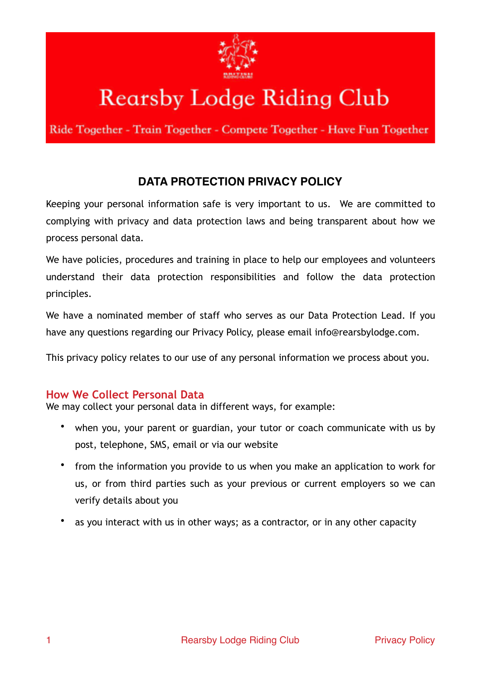

# **Rearsby Lodge Riding Club**

Ride Together - Train Together - Compete Together - Have Fun Together

## **DATA PROTECTION PRIVACY POLICY**

Keeping your personal information safe is very important to us. We are committed to complying with privacy and data protection laws and being transparent about how we process personal data.

We have policies, procedures and training in place to help our employees and volunteers understand their data protection responsibilities and follow the data protection principles.

We have a nominated member of staff who serves as our Data Protection Lead. If you have any questions regarding our Privacy Policy, please email info@rearsbylodge.com.

This privacy policy relates to our use of any personal information we process about you.

## **How We Collect Personal Data**

We may collect your personal data in different ways, for example:

- when you, your parent or guardian, your tutor or coach communicate with us by post, telephone, SMS, email or via our website
- from the information you provide to us when you make an application to work for us, or from third parties such as your previous or current employers so we can verify details about you
- as you interact with us in other ways; as a contractor, or in any other capacity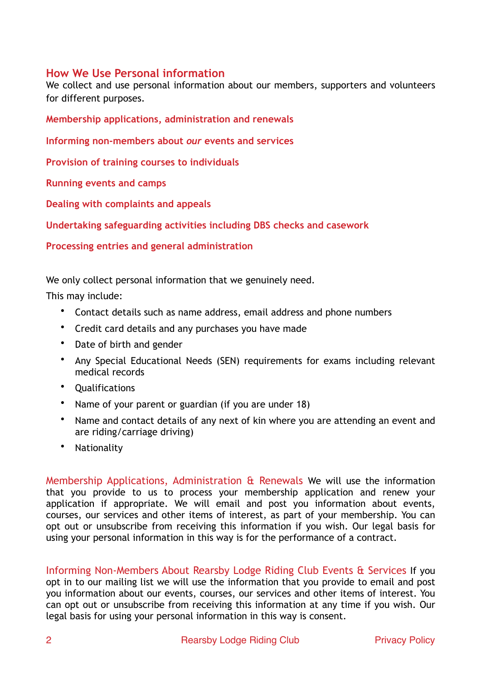## **How We Use Personal information**

We collect and use personal information about our members, supporters and volunteers for different purposes.

**Membership applications, administration and renewals**

**Informing non-members about** *our* **events and services**

**Provision of training courses to individuals** 

**Running events and camps**

**Dealing with complaints and appeals**

**Undertaking safeguarding activities including DBS checks and casework**

**Processing entries and general administration**

We only collect personal information that we genuinely need.

This may include:

- Contact details such as name address, email address and phone numbers
- Credit card details and any purchases you have made
- Date of birth and gender
- Any Special Educational Needs (SEN) requirements for exams including relevant medical records
- Qualifications
- Name of your parent or guardian (if you are under 18)
- Name and contact details of any next of kin where you are attending an event and are riding/carriage driving)
- Nationality

Membership Applications, Administration & Renewals We will use the information that you provide to us to process your membership application and renew your application if appropriate. We will email and post you information about events, courses, our services and other items of interest, as part of your membership. You can opt out or unsubscribe from receiving this information if you wish. Our legal basis for using your personal information in this way is for the performance of a contract.

Informing Non-Members About Rearsby Lodge Riding Club Events & Services If you opt in to our mailing list we will use the information that you provide to email and post you information about our events, courses, our services and other items of interest. You can opt out or unsubscribe from receiving this information at any time if you wish. Our legal basis for using your personal information in this way is consent.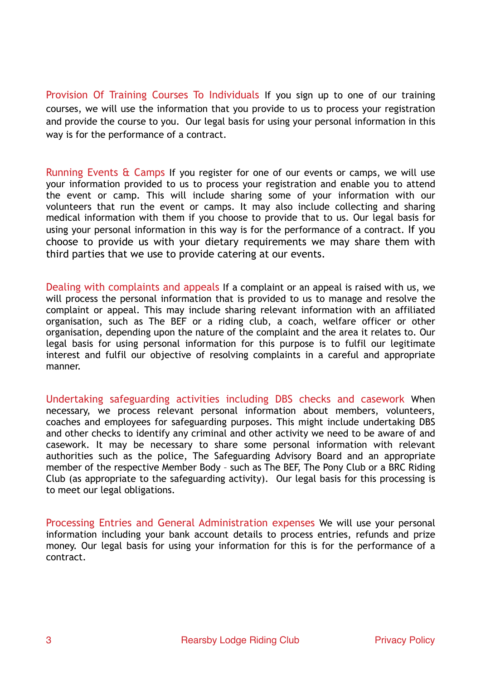Provision Of Training Courses To Individuals If you sign up to one of our training courses, we will use the information that you provide to us to process your registration and provide the course to you. Our legal basis for using your personal information in this way is for the performance of a contract.

Running Events & Camps If you register for one of our events or camps, we will use your information provided to us to process your registration and enable you to attend the event or camp. This will include sharing some of your information with our volunteers that run the event or camps. It may also include collecting and sharing medical information with them if you choose to provide that to us. Our legal basis for using your personal information in this way is for the performance of a contract. If you choose to provide us with your dietary requirements we may share them with third parties that we use to provide catering at our events.

Dealing with complaints and appeals If a complaint or an appeal is raised with us, we will process the personal information that is provided to us to manage and resolve the complaint or appeal. This may include sharing relevant information with an affiliated organisation, such as The BEF or a riding club, a coach, welfare officer or other organisation, depending upon the nature of the complaint and the area it relates to. Our legal basis for using personal information for this purpose is to fulfil our legitimate interest and fulfil our objective of resolving complaints in a careful and appropriate manner.

Undertaking safeguarding activities including DBS checks and casework When necessary, we process relevant personal information about members, volunteers, coaches and employees for safeguarding purposes. This might include undertaking DBS and other checks to identify any criminal and other activity we need to be aware of and casework. It may be necessary to share some personal information with relevant authorities such as the police, The Safeguarding Advisory Board and an appropriate member of the respective Member Body – such as The BEF, The Pony Club or a BRC Riding Club (as appropriate to the safeguarding activity). Our legal basis for this processing is to meet our legal obligations.

Processing Entries and General Administration expenses We will use your personal information including your bank account details to process entries, refunds and prize money. Our legal basis for using your information for this is for the performance of a contract.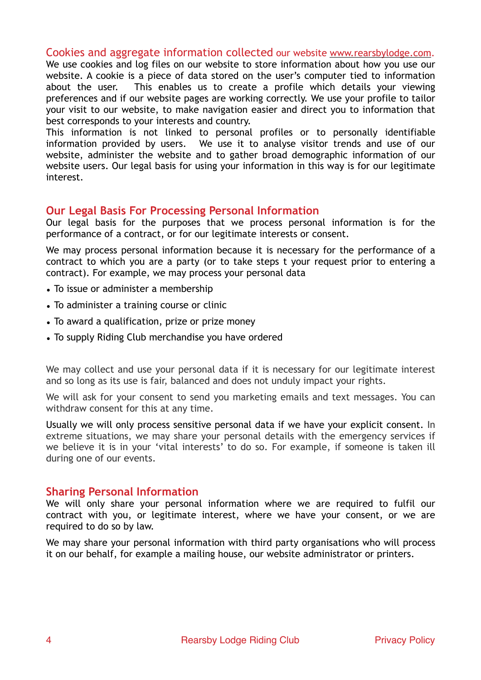#### Cookies and aggregate information collected our website [www.rearsbylodge.com.](http://www.rearsbylodge.com)

We use cookies and log files on our website to store information about how you use our website. A cookie is a piece of data stored on the user's computer tied to information about the user. This enables us to create a profile which details your viewing preferences and if our website pages are working correctly. We use your profile to tailor your visit to our website, to make navigation easier and direct you to information that best corresponds to your interests and country.

This information is not linked to personal profiles or to personally identifiable information provided by users. We use it to analyse visitor trends and use of our website, administer the website and to gather broad demographic information of our website users. Our legal basis for using your information in this way is for our legitimate interest.

#### **Our Legal Basis For Processing Personal Information**

Our legal basis for the purposes that we process personal information is for the performance of a contract, or for our legitimate interests or consent.

We may process personal information because it is necessary for the performance of a contract to which you are a party (or to take steps t your request prior to entering a contract). For example, we may process your personal data

- To issue or administer a membership
- To administer a training course or clinic
- To award a qualification, prize or prize money
- To supply Riding Club merchandise you have ordered

We may collect and use your personal data if it is necessary for our legitimate interest and so long as its use is fair, balanced and does not unduly impact your rights.

We will ask for your consent to send you marketing emails and text messages. You can withdraw consent for this at any time.

Usually we will only process sensitive personal data if we have your explicit consent. In extreme situations, we may share your personal details with the emergency services if we believe it is in your 'vital interests' to do so. For example, if someone is taken ill during one of our events.

#### **Sharing Personal Information**

We will only share your personal information where we are required to fulfil our contract with you, or legitimate interest, where we have your consent, or we are required to do so by law.

We may share your personal information with third party organisations who will process it on our behalf, for example a mailing house, our website administrator or printers.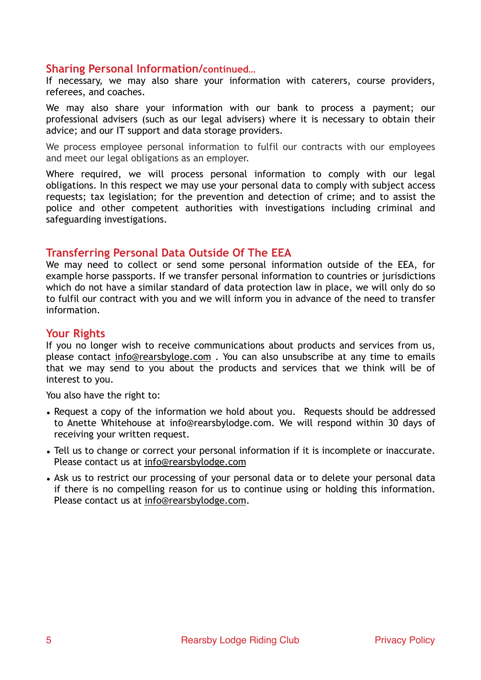#### **Sharing Personal Information/continued…**

If necessary, we may also share your information with caterers, course providers, referees, and coaches.

We may also share your information with our bank to process a payment; our professional advisers (such as our legal advisers) where it is necessary to obtain their advice; and our IT support and data storage providers.

We process employee personal information to fulfil our contracts with our employees and meet our legal obligations as an employer.

Where required, we will process personal information to comply with our legal obligations. In this respect we may use your personal data to comply with subject access requests; tax legislation; for the prevention and detection of crime; and to assist the police and other competent authorities with investigations including criminal and safeguarding investigations.

#### **Transferring Personal Data Outside Of The EEA**

We may need to collect or send some personal information outside of the EEA, for example horse passports. If we transfer personal information to countries or jurisdictions which do not have a similar standard of data protection law in place, we will only do so to fulfil our contract with you and we will inform you in advance of the need to transfer information.

## **Your Rights**

If you no longer wish to receive communications about products and services from us, please contact [info@rearsbyloge.com](mailto:info@rearsbyloge.com) . You can also unsubscribe at any time to emails that we may send to you about the products and services that we think will be of interest to you.

You also have the right to:

- Request a copy of the information we hold about you. Requests should be addressed to Anette Whitehouse at info@rearsbylodge.com. We will respond within 30 days of receiving your written request.
- Tell us to change or correct your personal information if it is incomplete or inaccurate. Please contact us at [info@rearsbylodge.com](mailto:info@rearsbylodge.com)
- Ask us to restrict our processing of your personal data or to delete your personal data if there is no compelling reason for us to continue using or holding this information. Please contact us at [info@rearsbylodge.com](mailto:info@rearsbylodge.com).